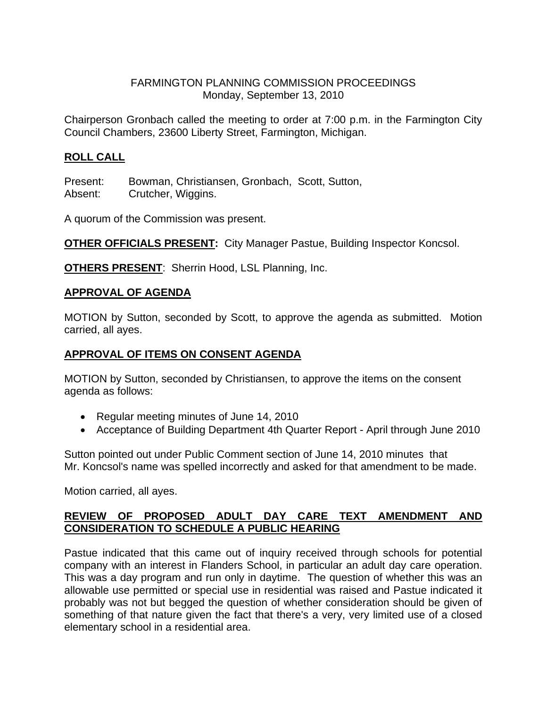## FARMINGTON PLANNING COMMISSION PROCEEDINGS Monday, September 13, 2010

Chairperson Gronbach called the meeting to order at 7:00 p.m. in the Farmington City Council Chambers, 23600 Liberty Street, Farmington, Michigan.

# **ROLL CALL**

Present: Bowman, Christiansen, Gronbach, Scott, Sutton, Absent: Crutcher, Wiggins.

A quorum of the Commission was present.

**OTHER OFFICIALS PRESENT:** City Manager Pastue, Building Inspector Koncsol.

**OTHERS PRESENT:** Sherrin Hood, LSL Planning, Inc.

### **APPROVAL OF AGENDA**

MOTION by Sutton, seconded by Scott, to approve the agenda as submitted. Motion carried, all ayes.

# **APPROVAL OF ITEMS ON CONSENT AGENDA**

MOTION by Sutton, seconded by Christiansen, to approve the items on the consent agenda as follows:

- Regular meeting minutes of June 14, 2010
- Acceptance of Building Department 4th Quarter Report April through June 2010

Sutton pointed out under Public Comment section of June 14, 2010 minutes that Mr. Koncsol's name was spelled incorrectly and asked for that amendment to be made.

Motion carried, all ayes.

## **REVIEW OF PROPOSED ADULT DAY CARE TEXT AMENDMENT AND CONSIDERATION TO SCHEDULE A PUBLIC HEARING**

Pastue indicated that this came out of inquiry received through schools for potential company with an interest in Flanders School, in particular an adult day care operation. This was a day program and run only in daytime. The question of whether this was an allowable use permitted or special use in residential was raised and Pastue indicated it probably was not but begged the question of whether consideration should be given of something of that nature given the fact that there's a very, very limited use of a closed elementary school in a residential area.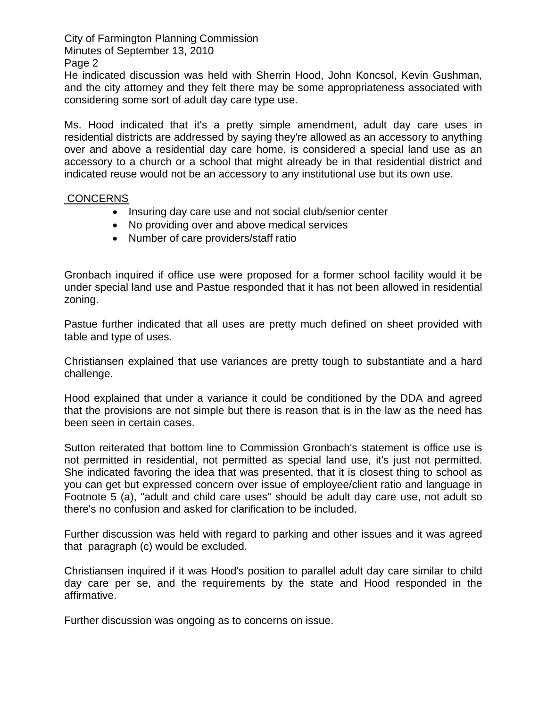City of Farmington Planning Commission Minutes of September 13, 2010

Page 2

He indicated discussion was held with Sherrin Hood, John Koncsol, Kevin Gushman, and the city attorney and they felt there may be some appropriateness associated with considering some sort of adult day care type use.

Ms. Hood indicated that it's a pretty simple amendment, adult day care uses in residential districts are addressed by saying they're allowed as an accessory to anything over and above a residential day care home, is considered a special land use as an accessory to a church or a school that might already be in that residential district and indicated reuse would not be an accessory to any institutional use but its own use.

### **CONCERNS**

- Insuring day care use and not social club/senior center
- No providing over and above medical services
- Number of care providers/staff ratio

Gronbach inquired if office use were proposed for a former school facility would it be under special land use and Pastue responded that it has not been allowed in residential zoning.

Pastue further indicated that all uses are pretty much defined on sheet provided with table and type of uses.

Christiansen explained that use variances are pretty tough to substantiate and a hard challenge.

Hood explained that under a variance it could be conditioned by the DDA and agreed that the provisions are not simple but there is reason that is in the law as the need has been seen in certain cases.

Sutton reiterated that bottom line to Commission Gronbach's statement is office use is not permitted in residential, not permitted as special land use, it's just not permitted. She indicated favoring the idea that was presented, that it is closest thing to school as you can get but expressed concern over issue of employee/client ratio and language in Footnote 5 (a), "adult and child care uses" should be adult day care use, not adult so there's no confusion and asked for clarification to be included.

Further discussion was held with regard to parking and other issues and it was agreed that paragraph (c) would be excluded.

Christiansen inquired if it was Hood's position to parallel adult day care similar to child day care per se, and the requirements by the state and Hood responded in the affirmative.

Further discussion was ongoing as to concerns on issue.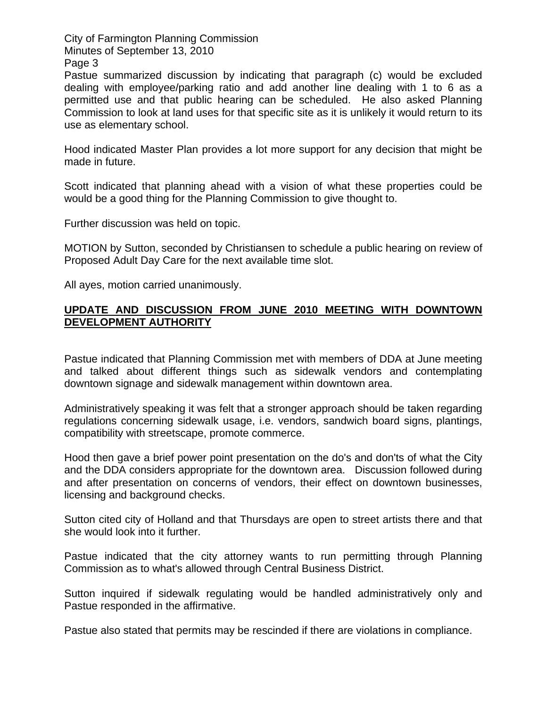City of Farmington Planning Commission Minutes of September 13, 2010

Page 3

Pastue summarized discussion by indicating that paragraph (c) would be excluded dealing with employee/parking ratio and add another line dealing with 1 to 6 as a permitted use and that public hearing can be scheduled. He also asked Planning Commission to look at land uses for that specific site as it is unlikely it would return to its use as elementary school.

Hood indicated Master Plan provides a lot more support for any decision that might be made in future.

Scott indicated that planning ahead with a vision of what these properties could be would be a good thing for the Planning Commission to give thought to.

Further discussion was held on topic.

MOTION by Sutton, seconded by Christiansen to schedule a public hearing on review of Proposed Adult Day Care for the next available time slot.

All ayes, motion carried unanimously.

### **UPDATE AND DISCUSSION FROM JUNE 2010 MEETING WITH DOWNTOWN DEVELOPMENT AUTHORITY**

Pastue indicated that Planning Commission met with members of DDA at June meeting and talked about different things such as sidewalk vendors and contemplating downtown signage and sidewalk management within downtown area.

Administratively speaking it was felt that a stronger approach should be taken regarding regulations concerning sidewalk usage, i.e. vendors, sandwich board signs, plantings, compatibility with streetscape, promote commerce.

Hood then gave a brief power point presentation on the do's and don'ts of what the City and the DDA considers appropriate for the downtown area. Discussion followed during and after presentation on concerns of vendors, their effect on downtown businesses, licensing and background checks.

Sutton cited city of Holland and that Thursdays are open to street artists there and that she would look into it further.

Pastue indicated that the city attorney wants to run permitting through Planning Commission as to what's allowed through Central Business District.

Sutton inquired if sidewalk regulating would be handled administratively only and Pastue responded in the affirmative.

Pastue also stated that permits may be rescinded if there are violations in compliance.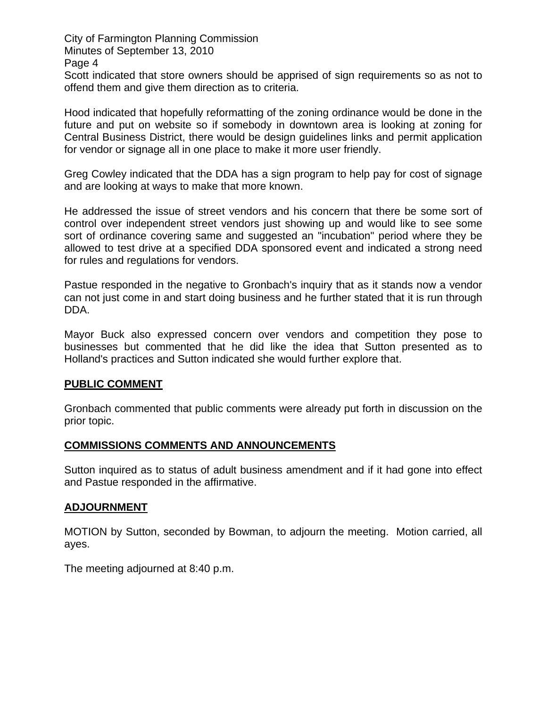City of Farmington Planning Commission Minutes of September 13, 2010 Page 4 Scott indicated that store owners should be apprised of sign requirements so as not to offend them and give them direction as to criteria.

Hood indicated that hopefully reformatting of the zoning ordinance would be done in the future and put on website so if somebody in downtown area is looking at zoning for Central Business District, there would be design guidelines links and permit application for vendor or signage all in one place to make it more user friendly.

Greg Cowley indicated that the DDA has a sign program to help pay for cost of signage and are looking at ways to make that more known.

He addressed the issue of street vendors and his concern that there be some sort of control over independent street vendors just showing up and would like to see some sort of ordinance covering same and suggested an "incubation" period where they be allowed to test drive at a specified DDA sponsored event and indicated a strong need for rules and regulations for vendors.

Pastue responded in the negative to Gronbach's inquiry that as it stands now a vendor can not just come in and start doing business and he further stated that it is run through DDA.

Mayor Buck also expressed concern over vendors and competition they pose to businesses but commented that he did like the idea that Sutton presented as to Holland's practices and Sutton indicated she would further explore that.

### **PUBLIC COMMENT**

Gronbach commented that public comments were already put forth in discussion on the prior topic.

#### **COMMISSIONS COMMENTS AND ANNOUNCEMENTS**

Sutton inquired as to status of adult business amendment and if it had gone into effect and Pastue responded in the affirmative.

#### **ADJOURNMENT**

MOTION by Sutton, seconded by Bowman, to adjourn the meeting. Motion carried, all ayes.

The meeting adjourned at 8:40 p.m.